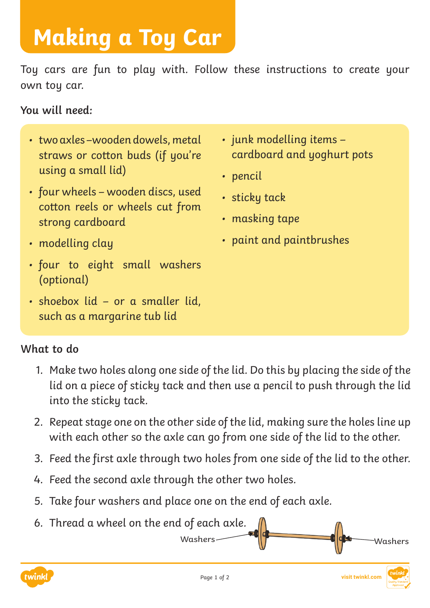## **Making a Toy Car**

Toy cars are fun to play with. Follow these instructions to create your own toy car.

**You will need:**

- two axles –wooden dowels, metal straws or cotton buds (if you're using a small lid)
- four wheels wooden discs, used cotton reels or wheels cut from strong cardboard
- junk modelling items cardboard and yoghurt pots
- pencil
- sticky tack
- masking tape
- paint and paintbrushes

Washers Washers Washers

- modelling clay
- four to eight small washers (optional)
- shoebox lid or a smaller lid, such as a margarine tub lid

## **What to do**

- 1. Make two holes along one side of the lid. Do this by placing the side of the lid on a piece of sticky tack and then use a pencil to push through the lid into the sticky tack.
- 2. Repeat stage one on the other side of the lid, making sure the holes line up with each other so the axle can go from one side of the lid to the other.
- 3. Feed the first axle through two holes from one side of the lid to the other.
- 4. Feed the second axle through the other two holes.
- 5. Take four washers and place one on the end of each axle.
- 6. Thread a wheel on the end of each axle.